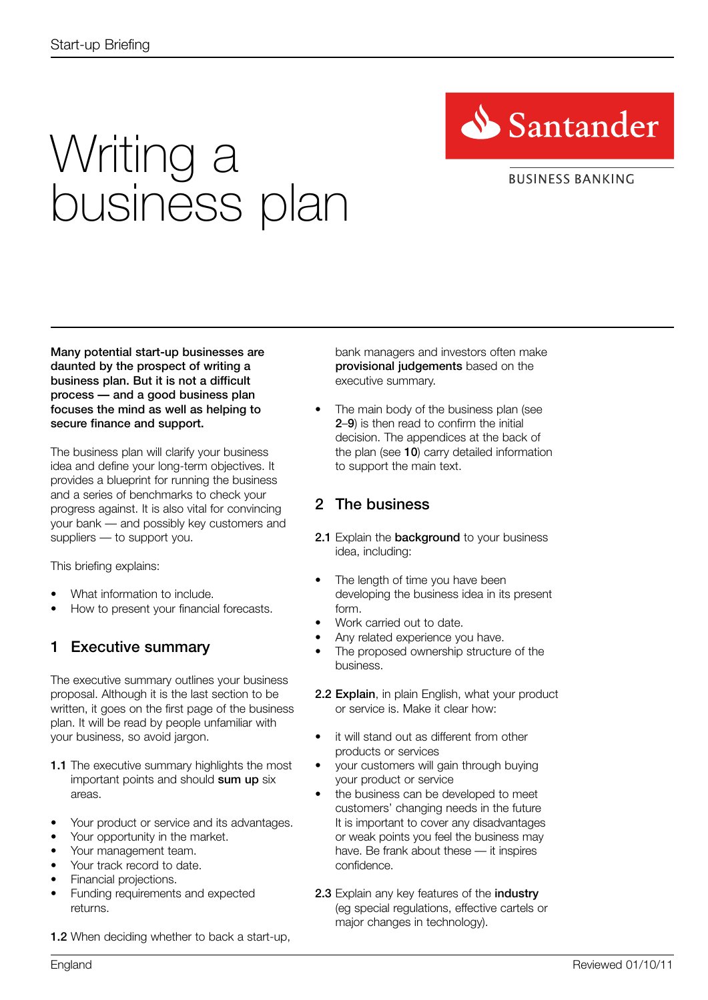

### **BUSINESS BANKING**

# Writing a business plan

Many potential start-up businesses are daunted by the prospect of writing a business plan. But it is not a difficult process — and a good business plan focuses the mind as well as helping to secure finance and support.

The business plan will clarify your business idea and define your long-term objectives. It provides a blueprint for running the business and a series of benchmarks to check your progress against. It is also vital for convincing your bank — and possibly key customers and suppliers — to support you.

This briefing explains:

- **•** What information to include.
- **•** How to present your financial forecasts.

## 1 Executive summary

The executive summary outlines your business proposal. Although it is the last section to be written, it goes on the first page of the business plan. It will be read by people unfamiliar with your business, so avoid jargon.

- 1.1 The executive summary highlights the most important points and should sum up six areas.
- **•** Your product or service and its advantages.
- **•** Your opportunity in the market.
- **•** Your management team.
- **•** Your track record to date.
- **•** Financial projections.
- **•** Funding requirements and expected returns.

**1.2** When deciding whether to back a start-up.

bank managers and investors often make provisional judgements based on the executive summary.

**•** The main body of the business plan (see 2–9) is then read to confirm the initial decision. The appendices at the back of the plan (see 10) carry detailed information to support the main text.

## 2 The business

- 2.1 Explain the background to your business idea, including:
- The length of time you have been developing the business idea in its present form.
- **•** Work carried out to date.
- **•** Any related experience you have.
- **•** The proposed ownership structure of the business.
- 2.2 Explain, in plain English, what your product or service is. Make it clear how:
- **•** it will stand out as different from other products or services
- **•** your customers will gain through buying your product or service
- **•** the business can be developed to meet customers' changing needs in the future It is important to cover any disadvantages or weak points you feel the business may have. Be frank about these — it inspires confidence.
- 2.3 Explain any key features of the *industry* (eg special regulations, effective cartels or major changes in technology).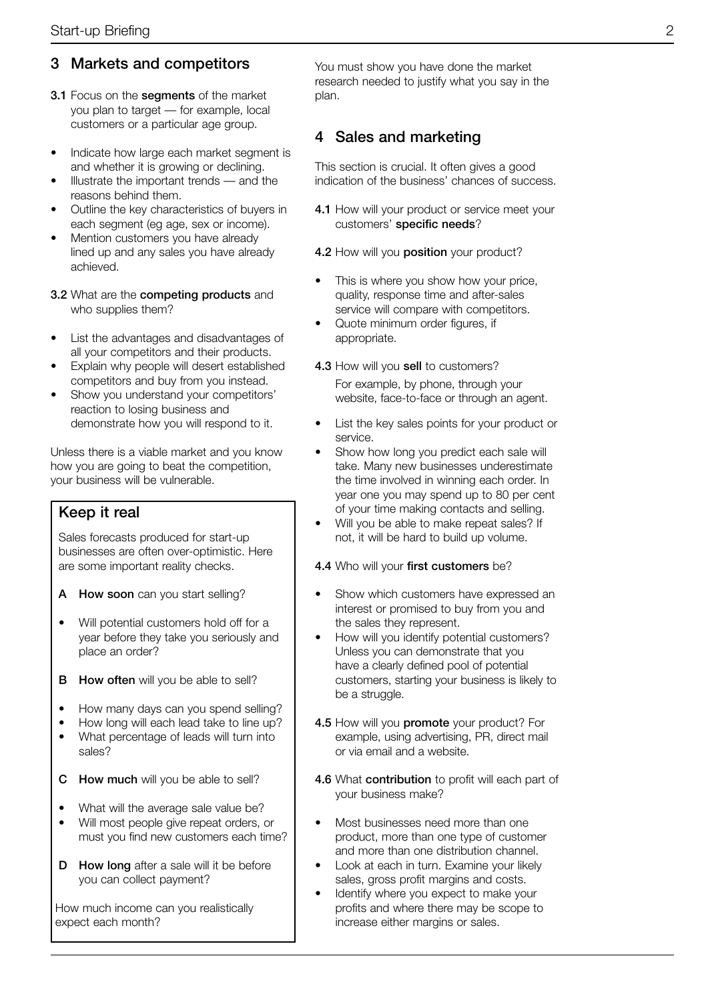## 3 Markets and competitors

- **3.1** Focus on the **segments** of the market you plan to target — for example, local customers or a particular age group.
- **•** Indicate how large each market segment is and whether it is growing or declining.
- **•** Illustrate the important trends and the reasons behind them.
- **•** Outline the key characteristics of buyers in each segment (eg age, sex or income).
- **•** Mention customers you have already lined up and any sales you have already achieved.
- 3.2 What are the competing products and who supplies them?
- **•** List the advantages and disadvantages of all your competitors and their products.
- **•** Explain why people will desert established competitors and buy from you instead.
- **•** Show you understand your competitors' reaction to losing business and demonstrate how you will respond to it.

Unless there is a viable market and you know how you are going to beat the competition, your business will be vulnerable.

## Keep it real

Sales forecasts produced for start-up businesses are often over-optimistic. Here are some important reality checks.

- A How soon can you start selling?
- **•** Will potential customers hold off for a year before they take you seriously and place an order?
- **B** How often will you be able to sell?
- **•** How many days can you spend selling?
- **•** How long will each lead take to line up?
- **•** What percentage of leads will turn into sales?
- C How much will you be able to sell?
- **•** What will the average sale value be?
- **•** Will most people give repeat orders, or must you find new customers each time?
- D How long after a sale will it be before you can collect payment?

How much income can you realistically expect each month?

You must show you have done the market research needed to justify what you say in the plan.

## 4 Sales and marketing

This section is crucial. It often gives a good indication of the business' chances of success.

- 4.1 How will your product or service meet your customers' specific needs?
- 4.2 How will you position your product?
- This is where you show how your price, quality, response time and after-sales service will compare with competitors.
- **•** Quote minimum order figures, if appropriate.
- 4.3 How will you sell to customers? For example, by phone, through your website, face-to-face or through an agent.
- **•** List the key sales points for your product or service.
- **•** Show how long you predict each sale will take. Many new businesses underestimate the time involved in winning each order. In year one you may spend up to 80 per cent of your time making contacts and selling.
- **•** Will you be able to make repeat sales? If not, it will be hard to build up volume.

#### 4.4 Who will your first customers be?

- **•** Show which customers have expressed an interest or promised to buy from you and the sales they represent.
- **•** How will you identify potential customers? Unless you can demonstrate that you have a clearly defined pool of potential customers, starting your business is likely to be a struggle.
- 4.5 How will you **promote** your product? For example, using advertising, PR, direct mail or via email and a website.
- 4.6 What contribution to profit will each part of your business make?
- **•** Most businesses need more than one product, more than one type of customer and more than one distribution channel.
- **•** Look at each in turn. Examine your likely sales, gross profit margins and costs.
- **•** Identify where you expect to make your profits and where there may be scope to increase either margins or sales.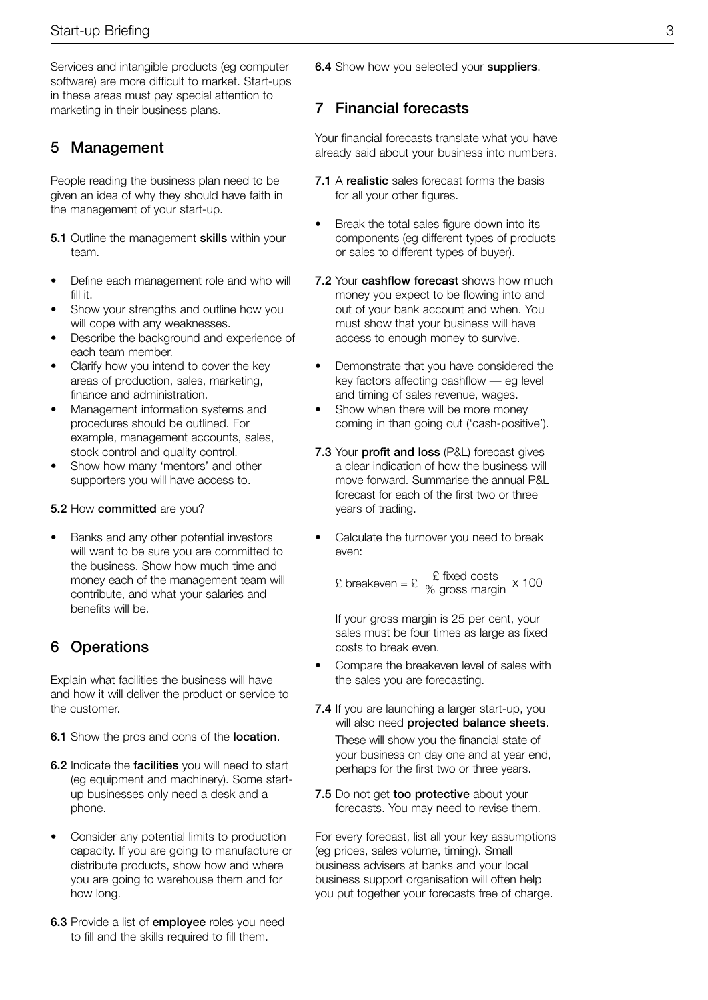Services and intangible products (eg computer software) are more difficult to market. Start-ups in these areas must pay special attention to marketing in their business plans.

## 5 Management

People reading the business plan need to be given an idea of why they should have faith in the management of your start-up.

- **5.1** Outline the management **skills** within your team.
- **•** Define each management role and who will fill it.
- **•** Show your strengths and outline how you will cope with any weaknesses.
- **•** Describe the background and experience of each team member.
- **•** Clarify how you intend to cover the key areas of production, sales, marketing, finance and administration.
- **•** Management information systems and procedures should be outlined. For example, management accounts, sales, stock control and quality control.
- **•** Show how many 'mentors' and other supporters you will have access to.

#### 5.2 How committed are you?

**•** Banks and any other potential investors will want to be sure you are committed to the business. Show how much time and money each of the management team will contribute, and what your salaries and benefits will be.

## 6 Operations

Explain what facilities the business will have and how it will deliver the product or service to the customer.

- 6.1 Show the pros and cons of the **location**.
- 6.2 Indicate the facilities you will need to start (eg equipment and machinery). Some startup businesses only need a desk and a phone.
- **•** Consider any potential limits to production capacity. If you are going to manufacture or distribute products, show how and where you are going to warehouse them and for how long.
- 6.3 Provide a list of employee roles you need to fill and the skills required to fill them.

**6.4** Show how you selected your suppliers.

## 7 Financial forecasts

Your financial forecasts translate what you have already said about your business into numbers.

- 7.1 A realistic sales forecast forms the basis for all your other figures.
- **•** Break the total sales figure down into its components (eg different types of products or sales to different types of buyer).
- 7.2 Your cashflow forecast shows how much money you expect to be flowing into and out of your bank account and when. You must show that your business will have access to enough money to survive.
- **•** Demonstrate that you have considered the key factors affecting cashflow — eg level and timing of sales revenue, wages.
- **•** Show when there will be more money coming in than going out ('cash-positive').
- 7.3 Your profit and loss (P&L) forecast gives a clear indication of how the business will move forward. Summarise the annual P&L forecast for each of the first two or three years of trading.
- **•** Calculate the turnover you need to break even:

$$
£
$$
breakeven = £  $\frac{£$  fixed costs  
% gross margin × 100

If your gross margin is 25 per cent, your sales must be four times as large as fixed costs to break even.

- **•** Compare the breakeven level of sales with the sales you are forecasting.
- 7.4 If you are launching a larger start-up, you will also need **projected balance sheets.**

These will show you the financial state of your business on day one and at year end, perhaps for the first two or three years.

7.5 Do not get too protective about your forecasts. You may need to revise them.

For every forecast, list all your key assumptions (eg prices, sales volume, timing). Small business advisers at banks and your local business support organisation will often help you put together your forecasts free of charge.